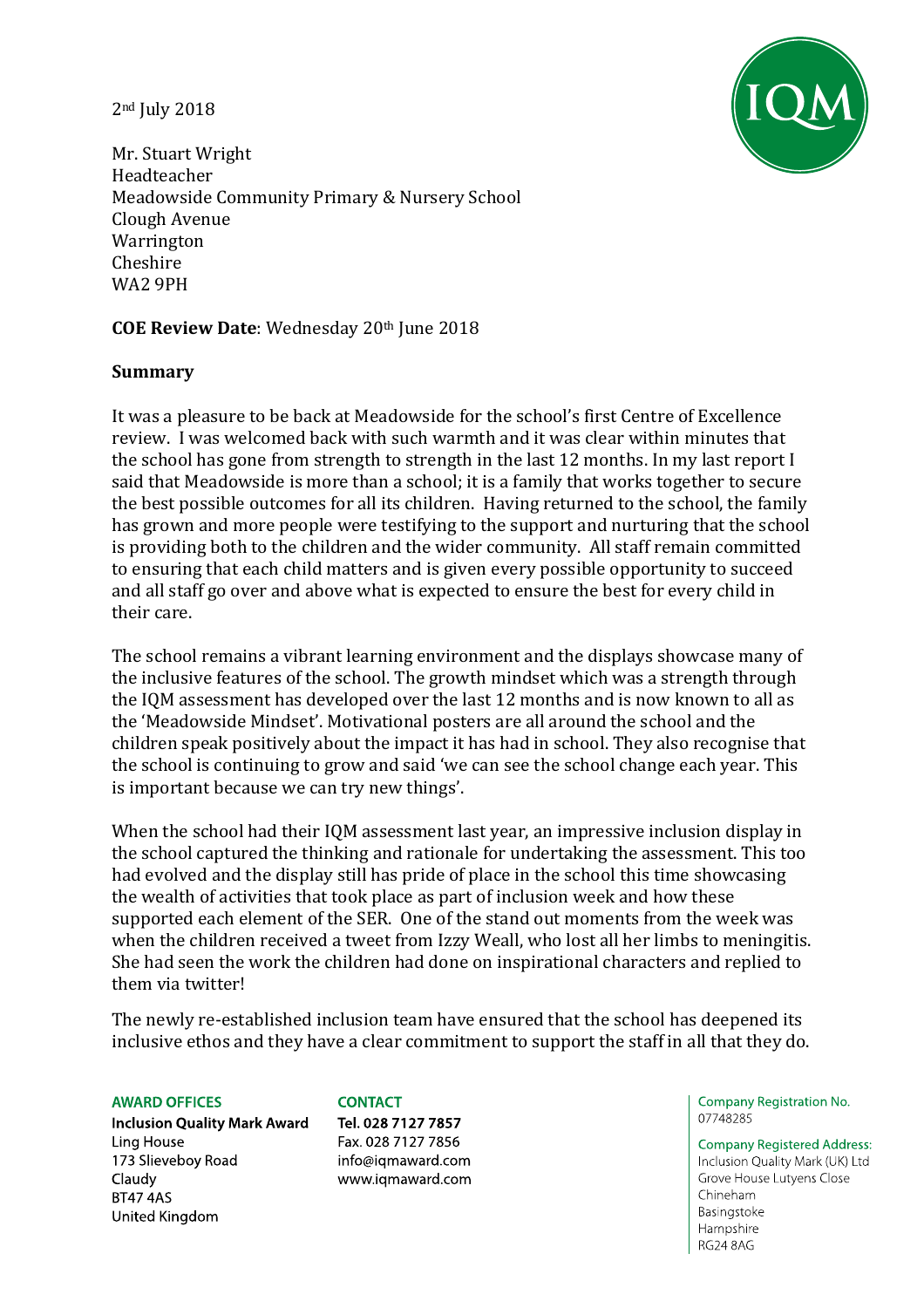2nd July 2018



Mr. Stuart Wright Headteacher Meadowside Community Primary & Nursery School Clough Avenue Warrington Cheshire WA2 9PH

**COE Review Date**: Wednesday 20th June 2018

## **Summary**

It was a pleasure to be back at Meadowside for the school's first Centre of Excellence review. I was welcomed back with such warmth and it was clear within minutes that the school has gone from strength to strength in the last 12 months. In my last report I said that Meadowside is more than a school; it is a family that works together to secure the best possible outcomes for all its children. Having returned to the school, the family has grown and more people were testifying to the support and nurturing that the school is providing both to the children and the wider community. All staff remain committed to ensuring that each child matters and is given every possible opportunity to succeed and all staff go over and above what is expected to ensure the best for every child in their care.

The school remains a vibrant learning environment and the displays showcase many of the inclusive features of the school. The growth mindset which was a strength through the IQM assessment has developed over the last 12 months and is now known to all as the 'Meadowside Mindset'. Motivational posters are all around the school and the children speak positively about the impact it has had in school. They also recognise that the school is continuing to grow and said 'we can see the school change each year. This is important because we can try new things'.

When the school had their IQM assessment last year, an impressive inclusion display in the school captured the thinking and rationale for undertaking the assessment. This too had evolved and the display still has pride of place in the school this time showcasing the wealth of activities that took place as part of inclusion week and how these supported each element of the SER. One of the stand out moments from the week was when the children received a tweet from Izzy Weall, who lost all her limbs to meningitis. She had seen the work the children had done on inspirational characters and replied to them via twitter!

The newly re-established inclusion team have ensured that the school has deepened its inclusive ethos and they have a clear commitment to support the staff in all that they do.

#### **AWARD OFFICES**

**Inclusion Quality Mark Award** Ling House 173 Slieveboy Road Claudy **BT47 4AS** United Kingdom

#### **CONTACT** Tel. 028 7127 7857 Fax. 028 7127 7856 info@iqmaward.com www.iqmaward.com

Company Registration No. 07748285

**Company Registered Address:** Inclusion Quality Mark (UK) Ltd Grove House Lutyens Close Chineham Basingstoke Hampshire **RG24 8AG**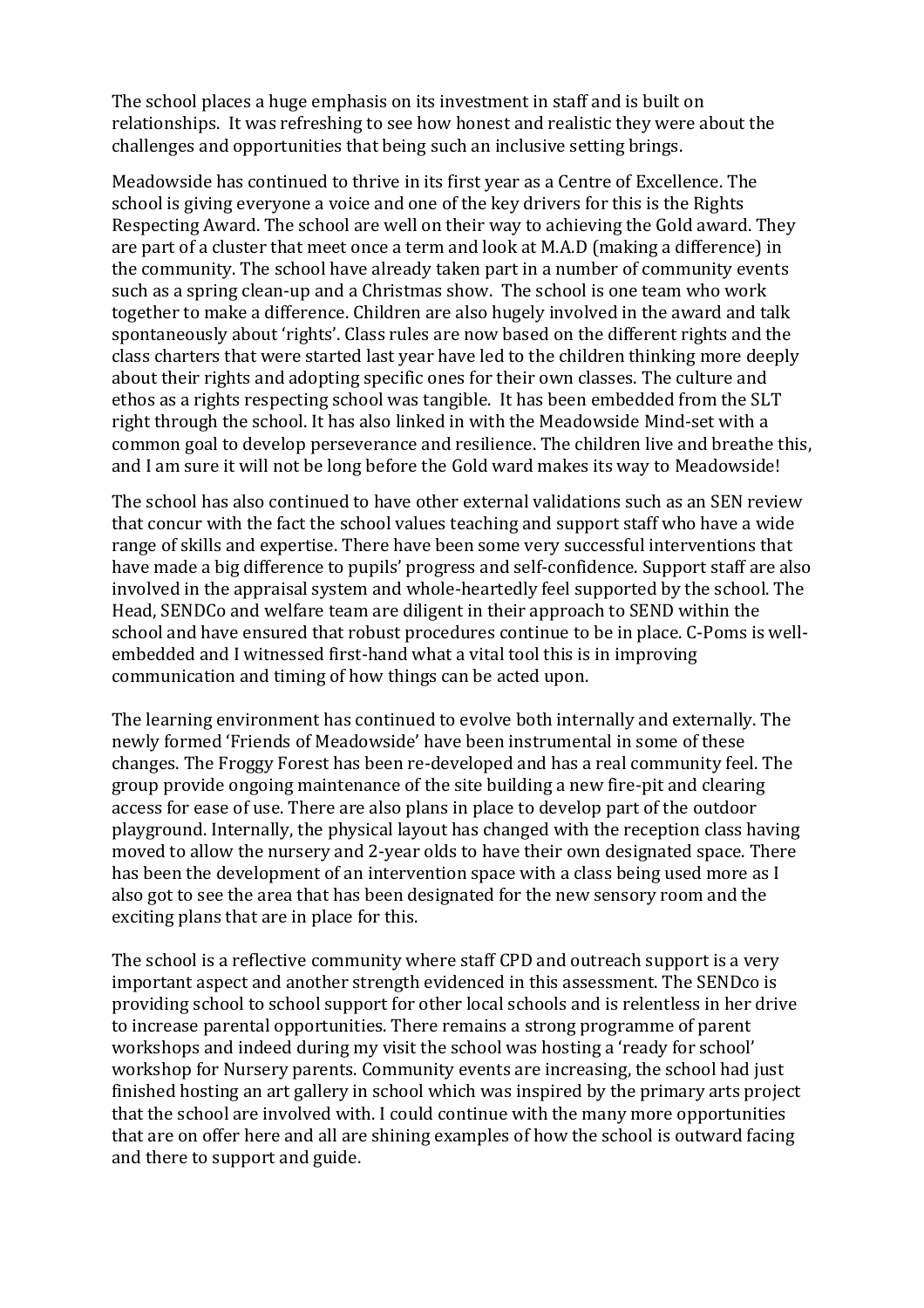The school places a huge emphasis on its investment in staff and is built on relationships. It was refreshing to see how honest and realistic they were about the challenges and opportunities that being such an inclusive setting brings.

Meadowside has continued to thrive in its first year as a Centre of Excellence. The school is giving everyone a voice and one of the key drivers for this is the Rights Respecting Award. The school are well on their way to achieving the Gold award. They are part of a cluster that meet once a term and look at M.A.D (making a difference) in the community. The school have already taken part in a number of community events such as a spring clean-up and a Christmas show. The school is one team who work together to make a difference. Children are also hugely involved in the award and talk spontaneously about 'rights'. Class rules are now based on the different rights and the class charters that were started last year have led to the children thinking more deeply about their rights and adopting specific ones for their own classes. The culture and ethos as a rights respecting school was tangible. It has been embedded from the SLT right through the school. It has also linked in with the Meadowside Mind-set with a common goal to develop perseverance and resilience. The children live and breathe this, and I am sure it will not be long before the Gold ward makes its way to Meadowside!

The school has also continued to have other external validations such as an SEN review that concur with the fact the school values teaching and support staff who have a wide range of skills and expertise. There have been some very successful interventions that have made a big difference to pupils' progress and self-confidence. Support staff are also involved in the appraisal system and whole-heartedly feel supported by the school. The Head, SENDCo and welfare team are diligent in their approach to SEND within the school and have ensured that robust procedures continue to be in place. C-Poms is wellembedded and I witnessed first-hand what a vital tool this is in improving communication and timing of how things can be acted upon.

The learning environment has continued to evolve both internally and externally. The newly formed 'Friends of Meadowside' have been instrumental in some of these changes. The Froggy Forest has been re-developed and has a real community feel. The group provide ongoing maintenance of the site building a new fire-pit and clearing access for ease of use. There are also plans in place to develop part of the outdoor playground. Internally, the physical layout has changed with the reception class having moved to allow the nursery and 2-year olds to have their own designated space. There has been the development of an intervention space with a class being used more as I also got to see the area that has been designated for the new sensory room and the exciting plans that are in place for this.

The school is a reflective community where staff CPD and outreach support is a very important aspect and another strength evidenced in this assessment. The SENDco is providing school to school support for other local schools and is relentless in her drive to increase parental opportunities. There remains a strong programme of parent workshops and indeed during my visit the school was hosting a 'ready for school' workshop for Nursery parents. Community events are increasing, the school had just finished hosting an art gallery in school which was inspired by the primary arts project that the school are involved with. I could continue with the many more opportunities that are on offer here and all are shining examples of how the school is outward facing and there to support and guide.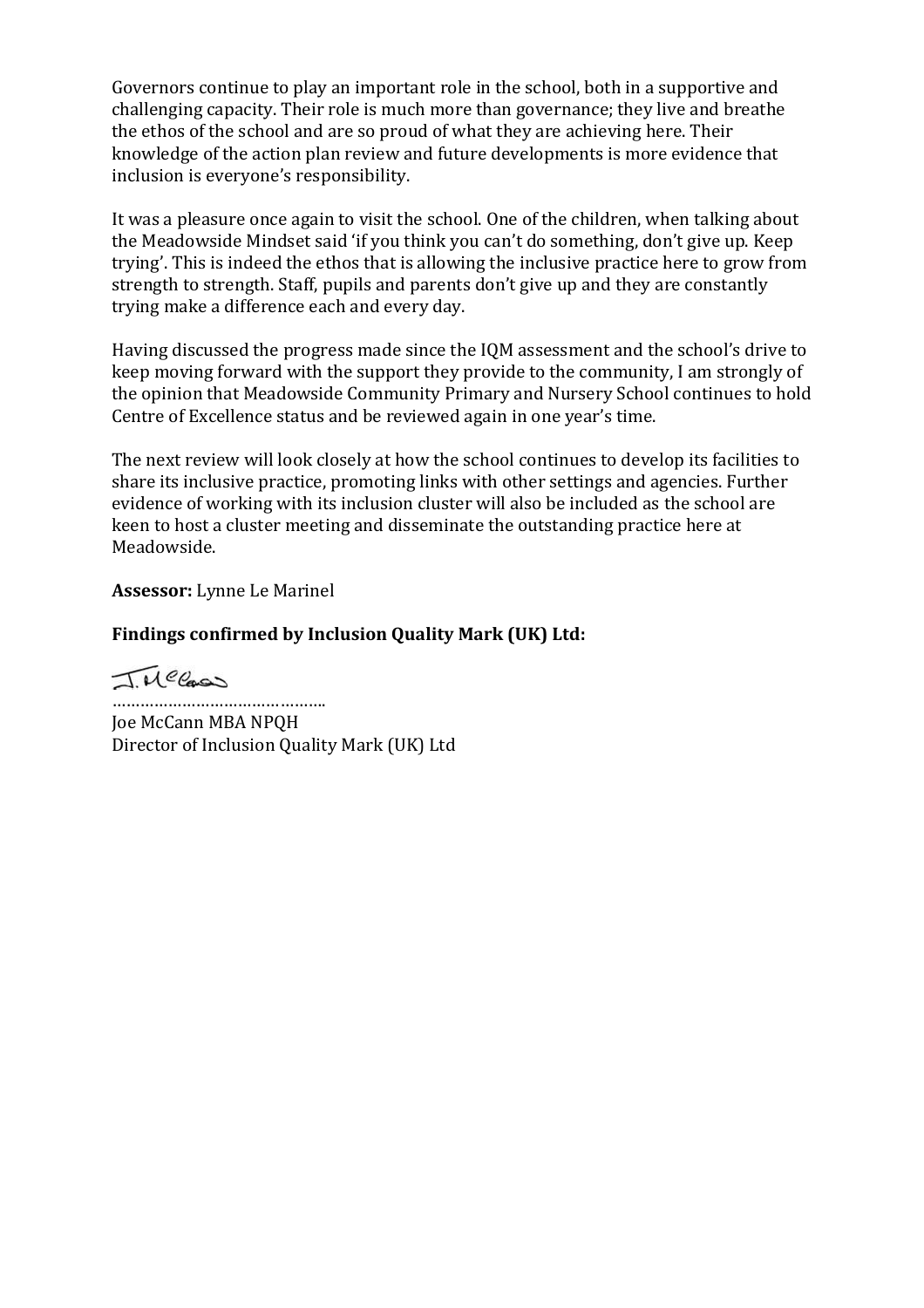Governors continue to play an important role in the school, both in a supportive and challenging capacity. Their role is much more than governance; they live and breathe the ethos of the school and are so proud of what they are achieving here. Their knowledge of the action plan review and future developments is more evidence that inclusion is everyone's responsibility.

It was a pleasure once again to visit the school. One of the children, when talking about the Meadowside Mindset said 'if you think you can't do something, don't give up. Keep trying'. This is indeed the ethos that is allowing the inclusive practice here to grow from strength to strength. Staff, pupils and parents don't give up and they are constantly trying make a difference each and every day.

Having discussed the progress made since the IQM assessment and the school's drive to keep moving forward with the support they provide to the community, I am strongly of the opinion that Meadowside Community Primary and Nursery School continues to hold Centre of Excellence status and be reviewed again in one year's time.

The next review will look closely at how the school continues to develop its facilities to share its inclusive practice, promoting links with other settings and agencies. Further evidence of working with its inclusion cluster will also be included as the school are keen to host a cluster meeting and disseminate the outstanding practice here at Meadowside.

**Assessor:** Lynne Le Marinel

## **Findings confirmed by Inclusion Quality Mark (UK) Ltd:**

TMCCass

…………………………………… Joe McCann MBA NPQH Director of Inclusion Quality Mark (UK) Ltd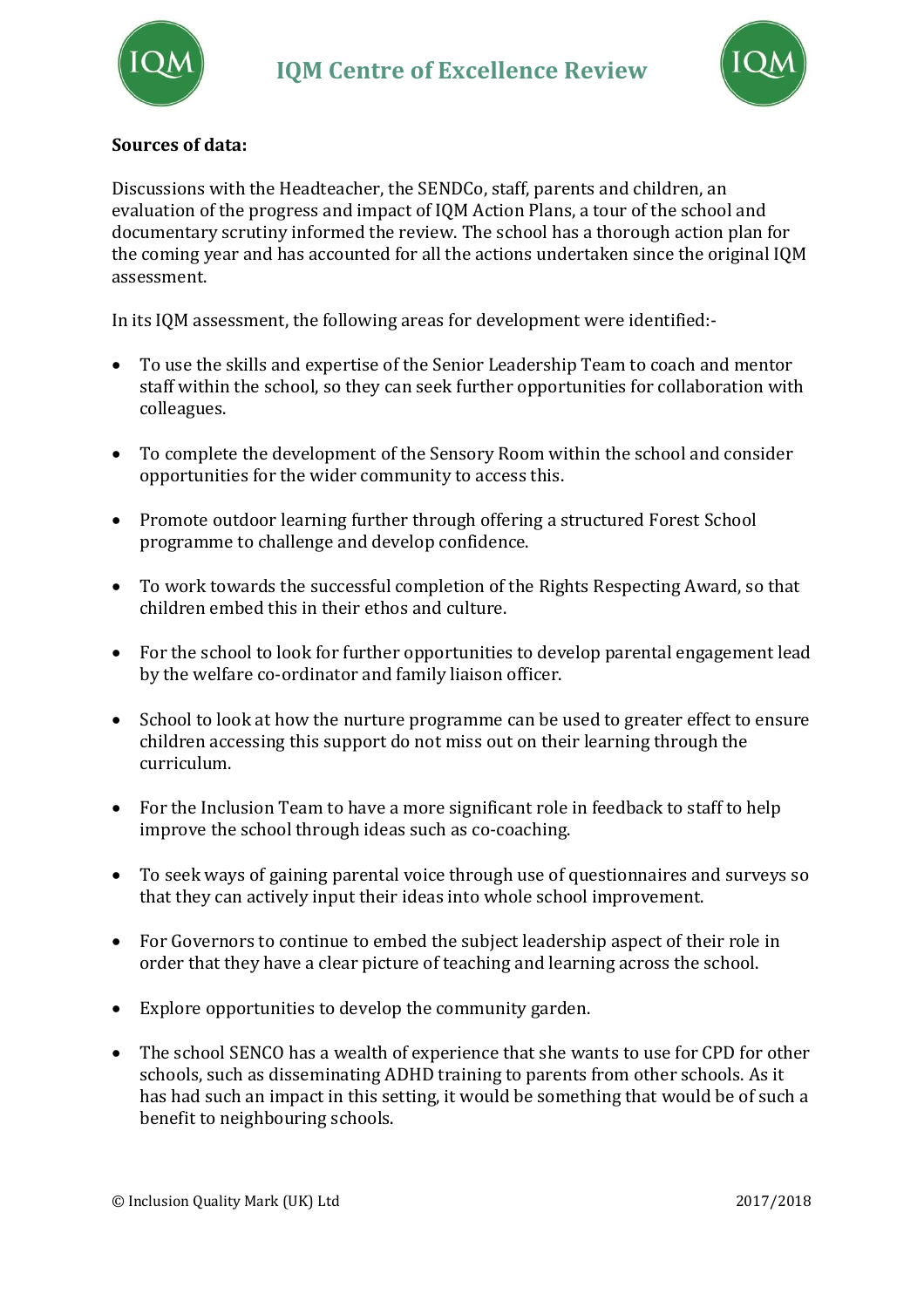



# **Sources of data:**

Discussions with the Headteacher, the SENDCo, staff, parents and children, an evaluation of the progress and impact of IQM Action Plans, a tour of the school and documentary scrutiny informed the review. The school has a thorough action plan for the coming year and has accounted for all the actions undertaken since the original IQM assessment.

In its IQM assessment, the following areas for development were identified:-

- To use the skills and expertise of the Senior Leadership Team to coach and mentor staff within the school, so they can seek further opportunities for collaboration with colleagues.
- To complete the development of the Sensory Room within the school and consider opportunities for the wider community to access this.
- Promote outdoor learning further through offering a structured Forest School programme to challenge and develop confidence.
- To work towards the successful completion of the Rights Respecting Award, so that children embed this in their ethos and culture.
- For the school to look for further opportunities to develop parental engagement lead by the welfare co-ordinator and family liaison officer.
- School to look at how the nurture programme can be used to greater effect to ensure children accessing this support do not miss out on their learning through the curriculum.
- For the Inclusion Team to have a more significant role in feedback to staff to help improve the school through ideas such as co-coaching.
- To seek ways of gaining parental voice through use of questionnaires and surveys so that they can actively input their ideas into whole school improvement.
- For Governors to continue to embed the subject leadership aspect of their role in order that they have a clear picture of teaching and learning across the school.
- Explore opportunities to develop the community garden.
- The school SENCO has a wealth of experience that she wants to use for CPD for other schools, such as disseminating ADHD training to parents from other schools. As it has had such an impact in this setting, it would be something that would be of such a benefit to neighbouring schools.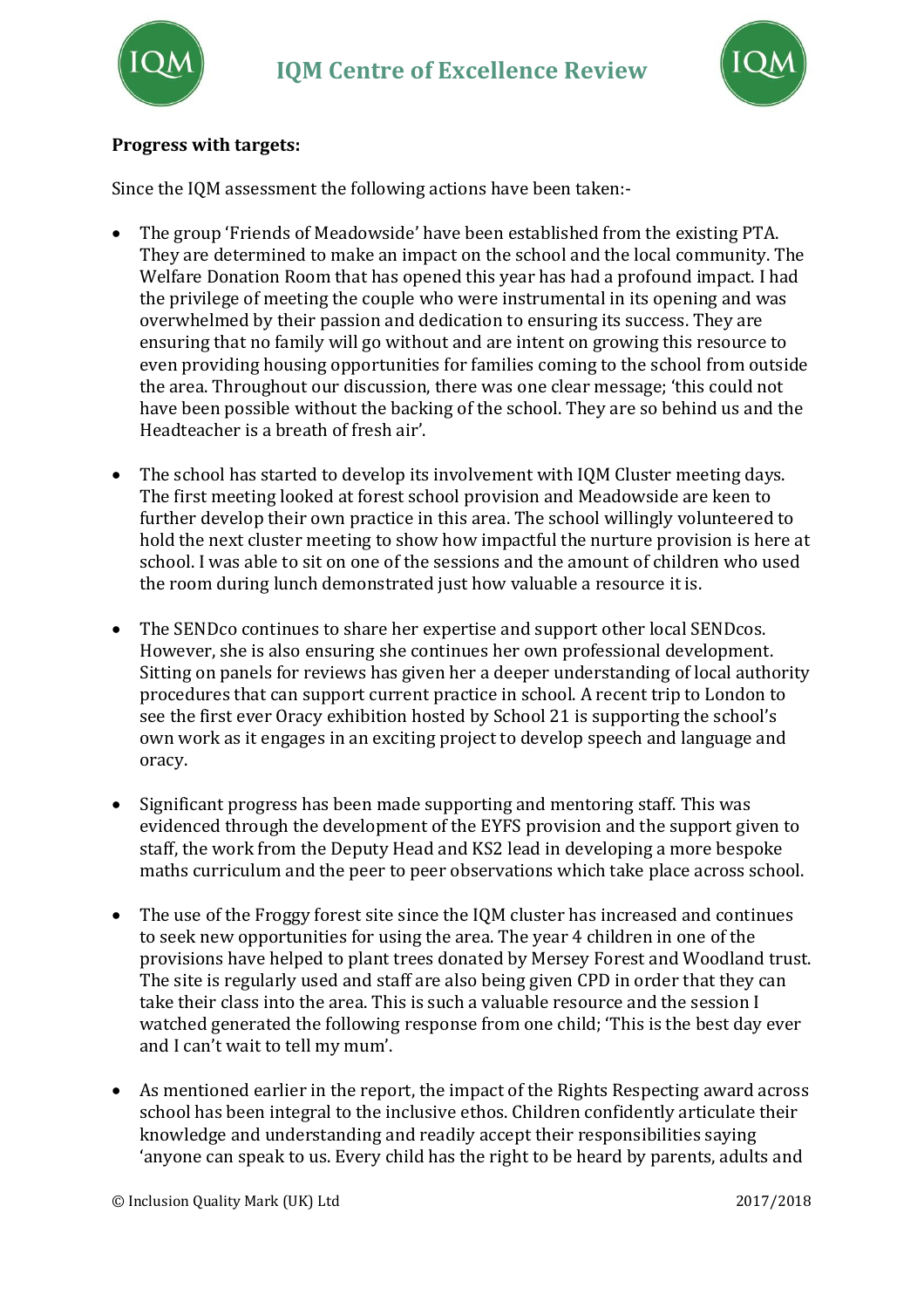



# **Progress with targets:**

Since the IQM assessment the following actions have been taken:-

- The group 'Friends of Meadowside' have been established from the existing PTA. They are determined to make an impact on the school and the local community. The Welfare Donation Room that has opened this year has had a profound impact. I had the privilege of meeting the couple who were instrumental in its opening and was overwhelmed by their passion and dedication to ensuring its success. They are ensuring that no family will go without and are intent on growing this resource to even providing housing opportunities for families coming to the school from outside the area. Throughout our discussion, there was one clear message; 'this could not have been possible without the backing of the school. They are so behind us and the Headteacher is a breath of fresh air'.
- The school has started to develop its involvement with IQM Cluster meeting days. The first meeting looked at forest school provision and Meadowside are keen to further develop their own practice in this area. The school willingly volunteered to hold the next cluster meeting to show how impactful the nurture provision is here at school. I was able to sit on one of the sessions and the amount of children who used the room during lunch demonstrated just how valuable a resource it is.
- The SENDco continues to share her expertise and support other local SENDcos. However, she is also ensuring she continues her own professional development. Sitting on panels for reviews has given her a deeper understanding of local authority procedures that can support current practice in school. A recent trip to London to see the first ever Oracy exhibition hosted by School 21 is supporting the school's own work as it engages in an exciting project to develop speech and language and oracy.
- Significant progress has been made supporting and mentoring staff. This was evidenced through the development of the EYFS provision and the support given to staff, the work from the Deputy Head and KS2 lead in developing a more bespoke maths curriculum and the peer to peer observations which take place across school.
- The use of the Froggy forest site since the IQM cluster has increased and continues to seek new opportunities for using the area. The year 4 children in one of the provisions have helped to plant trees donated by Mersey Forest and Woodland trust. The site is regularly used and staff are also being given CPD in order that they can take their class into the area. This is such a valuable resource and the session I watched generated the following response from one child; 'This is the best day ever and I can't wait to tell my mum'.
- As mentioned earlier in the report, the impact of the Rights Respecting award across school has been integral to the inclusive ethos. Children confidently articulate their knowledge and understanding and readily accept their responsibilities saying 'anyone can speak to us. Every child has the right to be heard by parents, adults and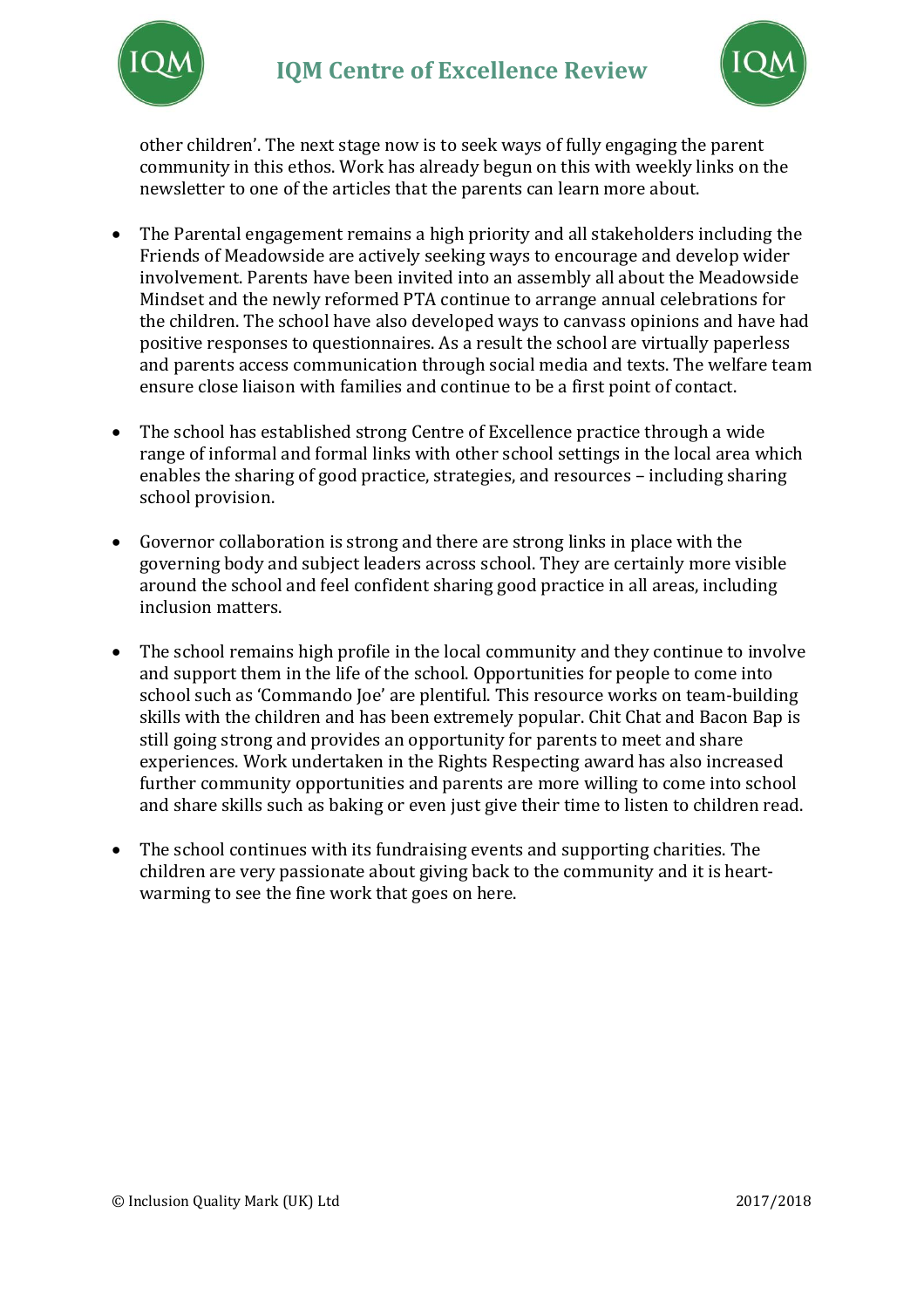



other children'. The next stage now is to seek ways of fully engaging the parent community in this ethos. Work has already begun on this with weekly links on the newsletter to one of the articles that the parents can learn more about.

- The Parental engagement remains a high priority and all stakeholders including the Friends of Meadowside are actively seeking ways to encourage and develop wider involvement. Parents have been invited into an assembly all about the Meadowside Mindset and the newly reformed PTA continue to arrange annual celebrations for the children. The school have also developed ways to canvass opinions and have had positive responses to questionnaires. As a result the school are virtually paperless and parents access communication through social media and texts. The welfare team ensure close liaison with families and continue to be a first point of contact.
- The school has established strong Centre of Excellence practice through a wide range of informal and formal links with other school settings in the local area which enables the sharing of good practice, strategies, and resources – including sharing school provision.
- Governor collaboration is strong and there are strong links in place with the governing body and subject leaders across school. They are certainly more visible around the school and feel confident sharing good practice in all areas, including inclusion matters.
- The school remains high profile in the local community and they continue to involve and support them in the life of the school. Opportunities for people to come into school such as 'Commando Joe' are plentiful. This resource works on team-building skills with the children and has been extremely popular. Chit Chat and Bacon Bap is still going strong and provides an opportunity for parents to meet and share experiences. Work undertaken in the Rights Respecting award has also increased further community opportunities and parents are more willing to come into school and share skills such as baking or even just give their time to listen to children read.
- The school continues with its fundraising events and supporting charities. The children are very passionate about giving back to the community and it is heartwarming to see the fine work that goes on here.